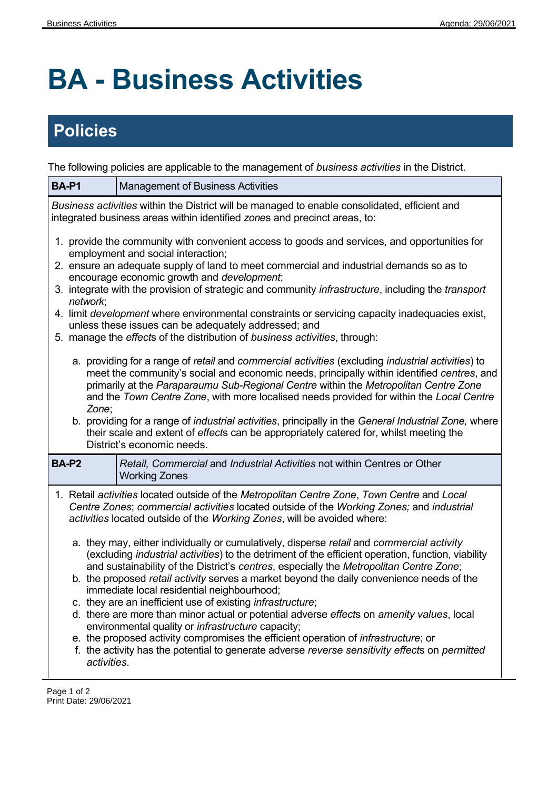## **BA - Business Activities**

## **Policies**

The following policies are applicable to the management of *business activities* in the District.

| <b>BA-P1</b>                                                                                                                                                                                                                                                                                                                                                                                                                                                                                                                                                                                                                                                                                                                                                                                                                                                                                                                                                                                                                                                                                                                                                                                                                                                                                 | <b>Management of Business Activities</b>                                                         |  |
|----------------------------------------------------------------------------------------------------------------------------------------------------------------------------------------------------------------------------------------------------------------------------------------------------------------------------------------------------------------------------------------------------------------------------------------------------------------------------------------------------------------------------------------------------------------------------------------------------------------------------------------------------------------------------------------------------------------------------------------------------------------------------------------------------------------------------------------------------------------------------------------------------------------------------------------------------------------------------------------------------------------------------------------------------------------------------------------------------------------------------------------------------------------------------------------------------------------------------------------------------------------------------------------------|--------------------------------------------------------------------------------------------------|--|
| Business activities within the District will be managed to enable consolidated, efficient and<br>integrated business areas within identified zones and precinct areas, to:                                                                                                                                                                                                                                                                                                                                                                                                                                                                                                                                                                                                                                                                                                                                                                                                                                                                                                                                                                                                                                                                                                                   |                                                                                                  |  |
| 1. provide the community with convenient access to goods and services, and opportunities for<br>employment and social interaction;<br>2. ensure an adequate supply of land to meet commercial and industrial demands so as to<br>encourage economic growth and development;<br>3. integrate with the provision of strategic and community <i>infrastructure</i> , including the <i>transport</i><br>network;<br>4. limit development where environmental constraints or servicing capacity inadequacies exist,<br>unless these issues can be adequately addressed; and<br>5. manage the effects of the distribution of business activities, through:<br>a. providing for a range of retail and commercial activities (excluding industrial activities) to<br>meet the community's social and economic needs, principally within identified centres, and<br>primarily at the Paraparaumu Sub-Regional Centre within the Metropolitan Centre Zone<br>and the Town Centre Zone, with more localised needs provided for within the Local Centre<br>Zone;<br>b. providing for a range of <i>industrial activities</i> , principally in the General Industrial Zone, where<br>their scale and extent of effects can be appropriately catered for, whilst meeting the<br>District's economic needs. |                                                                                                  |  |
| <b>BA-P2</b>                                                                                                                                                                                                                                                                                                                                                                                                                                                                                                                                                                                                                                                                                                                                                                                                                                                                                                                                                                                                                                                                                                                                                                                                                                                                                 | Retail, Commercial and Industrial Activities not within Centres or Other<br><b>Working Zones</b> |  |
| 1. Retail activities located outside of the Metropolitan Centre Zone, Town Centre and Local<br>Centre Zones; commercial activities located outside of the Working Zones; and industrial<br>activities located outside of the Working Zones, will be avoided where:<br>a. they may, either individually or cumulatively, disperse retail and commercial activity<br>(excluding <i>industrial activities</i> ) to the detriment of the efficient operation, function, viability<br>and sustainability of the District's centres, especially the Metropolitan Centre Zone;<br>b. the proposed retail activity serves a market beyond the daily convenience needs of the<br>immediate local residential neighbourhood;<br>c. they are an inefficient use of existing <i>infrastructure</i> ;<br>d. there are more than minor actual or potential adverse effects on amenity values, local<br>environmental quality or <i>infrastructure</i> capacity;<br>e. the proposed activity compromises the efficient operation of <i>infrastructure</i> ; or<br>f. the activity has the potential to generate adverse reverse sensitivity effects on permitted<br>activities.                                                                                                                             |                                                                                                  |  |